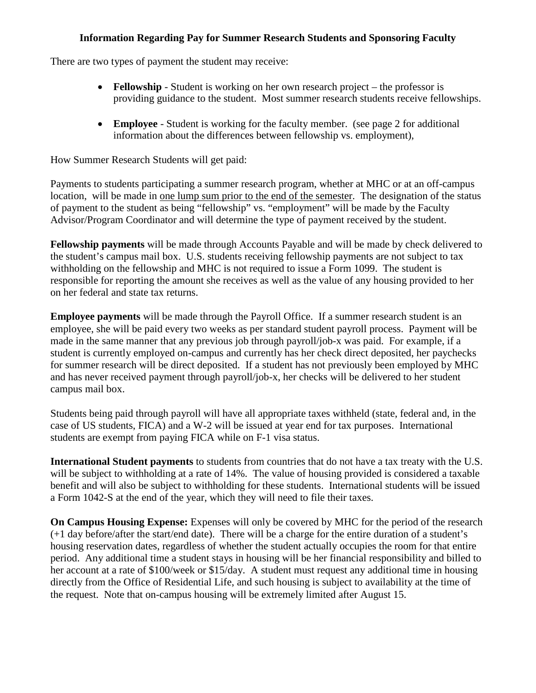## **Information Regarding Pay for Summer Research Students and Sponsoring Faculty**

There are two types of payment the student may receive:

- **Fellowship** Student is working on her own research project the professor is providing guidance to the student. Most summer research students receive fellowships.
- **Employee** Student is working for the faculty member. (see page 2 for additional information about the differences between fellowship vs. employment),

How Summer Research Students will get paid:

Payments to students participating a summer research program, whether at MHC or at an off-campus location, will be made in one lump sum prior to the end of the semester. The designation of the status of payment to the student as being "fellowship" vs. "employment" will be made by the Faculty Advisor/Program Coordinator and will determine the type of payment received by the student.

**Fellowship payments** will be made through Accounts Payable and will be made by check delivered to the student's campus mail box. U.S. students receiving fellowship payments are not subject to tax withholding on the fellowship and MHC is not required to issue a Form 1099. The student is responsible for reporting the amount she receives as well as the value of any housing provided to her on her federal and state tax returns.

**Employee payments** will be made through the Payroll Office. If a summer research student is an employee, she will be paid every two weeks as per standard student payroll process. Payment will be made in the same manner that any previous job through payroll/job-x was paid. For example, if a student is currently employed on-campus and currently has her check direct deposited, her paychecks for summer research will be direct deposited. If a student has not previously been employed by MHC and has never received payment through payroll/job-x, her checks will be delivered to her student campus mail box.

Students being paid through payroll will have all appropriate taxes withheld (state, federal and, in the case of US students, FICA) and a W-2 will be issued at year end for tax purposes. International students are exempt from paying FICA while on F-1 visa status.

**International Student payments** to students from countries that do not have a tax treaty with the U.S. will be subject to withholding at a rate of 14%. The value of housing provided is considered a taxable benefit and will also be subject to withholding for these students. International students will be issued a Form 1042-S at the end of the year, which they will need to file their taxes.

**On Campus Housing Expense:** Expenses will only be covered by MHC for the period of the research (+1 day before/after the start/end date). There will be a charge for the entire duration of a student's housing reservation dates, regardless of whether the student actually occupies the room for that entire period. Any additional time a student stays in housing will be her financial responsibility and billed to her account at a rate of \$100/week or \$15/day. A student must request any additional time in housing directly from the Office of Residential Life, and such housing is subject to availability at the time of the request. Note that on-campus housing will be extremely limited after August 15.